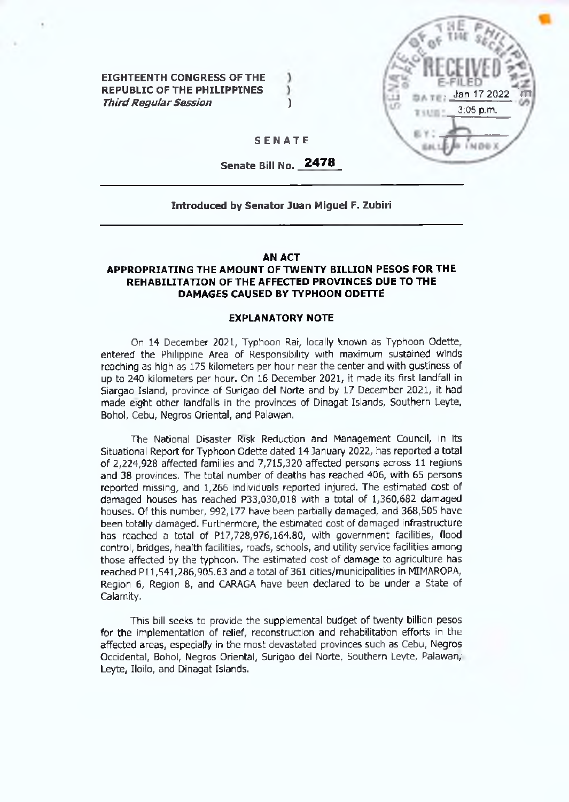**EIGHTEENTH CONGRESS OF THE REPUBLIC OF THE PHILIPPINES**  $\mathcal{Y}$ *Third Regular Session* ()



#### **SENATE**

ı

**Senate Bill No. 2478**

### **Introduced by Senator Juan Miguel F. Zubiri**

#### **AN ACT**

## **APPROPRIATING THE AMOUNT OF TWENTY BILLION PESOS FOR THE REHABILITATION OF THE AFFECTED PROVINCES DUE TO THE DAMAGES CAUSED BY TYPHOON ODETTE**

#### **EXPLANATORY NOTE**

On 14 December 2021, Typhoon Rat, locally known as Typhoon Odette, entered the Philippine Area of Responsibility with maximum sustained winds reaching as high as 175 kilometers per hour near the center and with gustiness of up to 240 kilometers per hour. On 16 December 2021, it made its first landfall in Siargao Island, province of Surigao del Norte and by 17 December 2021, it had made eight other landfalls in the provinces of Dinagat Islands, Southern Leyte, Bohol, Cebu, Negros Oriental, and Palawan.

The National Disaster Risk Reduction and Management Council, in its Situational Report for Typhoon Odette dated 14 January 2022, has reported a total of 2,224,928 affected families and 7,715,320 affected persons across 11 regions and 38 provinces. The total number of deaths has reached 406, with 65 persons reported missing, and 1,266 individuals reported injured. The estimated cost of damaged houses has reached P33,030,018 with a total of 1,360,682 damaged houses. Of this number, 992,177 have been partially damaged, and 368,505 have been totally damaged. Furthermore, the estimated cost of damaged infrastructure has reached a total of P17,728,976,164.80, with government facilities, flood control, bridges, health facilities, roads, schools, and utility service facilities among those affected by the typhoon. The estimated cost of damage to agriculture has reached Pll,541,286,905.63 and a total of 361 cities/municipalities in MIMAROPA, Region 6, Region 8, and CARAGA have been declared to be under a State of Calamity.

This bill seeks to provide the supplemental budget of twenty billion pesos for the implementation of relief, reconstruction and rehabilitation efforts in the affected areas, especially in the most devastated provinces such as Cebu, Negros Occidental, Bohol, Negros Oriental, Surigao del Norte, Southern Leyte, Palawan, Leyte, Iloilo, and Dinagat Islands.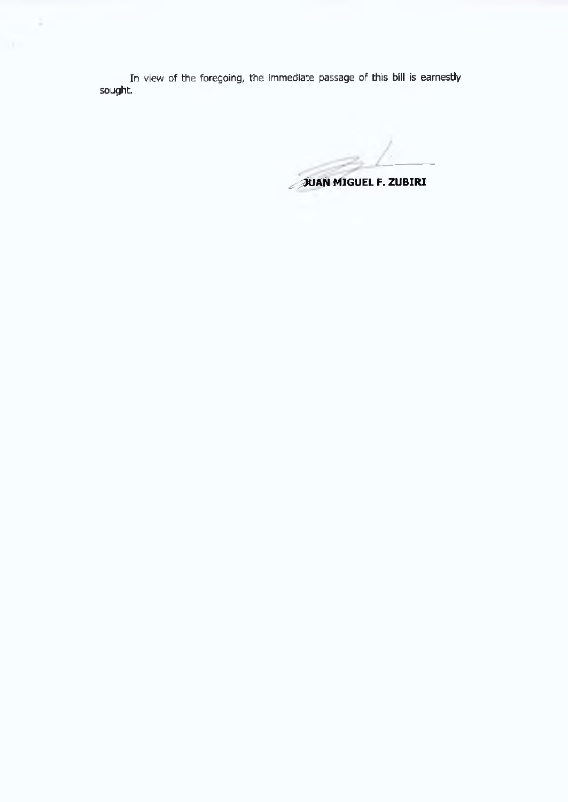In view of the foregoing, the immediate passage of this bill is earnestly sought.

÷

JUAN MIGUEL F. ZUBIRI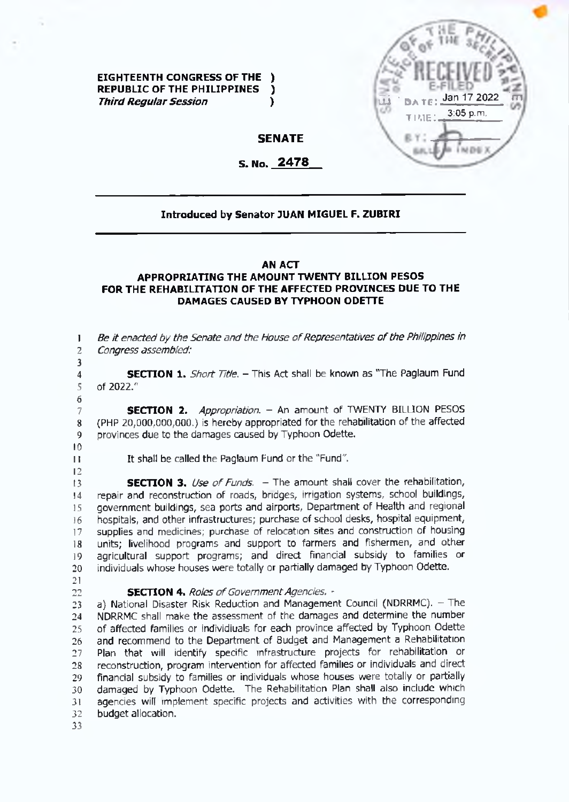

**EIGHTEENTH CONGRESS OF THE ) REPUBLIC OP THE PHILIPPINES )** *Third Reqular Session* (*)* 

# **SENATE**

## **S. No. 2478**

### **Introduced by Senator JUAN MIGUEL F. ZUBIRI**

### **AN ACT**

### **APPROPRIATING THE AMOUNT TWENTY BILLION PESOS FOR THE REHABILITATION OF THE AFFECTED PROVINCES DUE TO THE DAMAGES CAUSED BY TYPHOON ODETTE**

**1 2 3** *Be it enacted by the Senate and the House of Representatives of the Philippines in Congress assembled:*

**SECTION 1.** *Short Title. -*This Act shall be known as "The Paglaum Fund of 2022."

**SECTION 2.** *Appropriation. -* An amount of TWENTY BILLION PESOS (PHP 20,000,000,000.) is hereby appropriated for the rehabilitation of the affected provinces due to the damages caused by Typhoon Odette.

*9* **10**

**11 12** It shall be called the Paglaum Fund or the "Fund".

**13 14 15 16 17 18 19 20 SECTION 3.** Use of Funds. – The amount shall cover the rehabilitation, repair and reconstruction of roads, bridges, irrigation systems, school buildings, government buildings, sea ports and airports. Department of Health and regional hospitals, and other infrastructures; purchase of school desks, hospital equipment, supplies and medicines; purchase of relocation sites and construction of housing units; livelihood programs and support to farmers and fishermen, and other agricultural support programs; and direct financial subsidy to families or individuals whose houses were totally or partially damaged by Typhoon Odette.

**21 22**

### **SECTION 4.** Roles of Government Agencies. -

**23 24 25 26 27 28 29 30 31 32** a) National Disaster Risk Reduction and Management Council (NDRRMC). - The NDRRMC shall make the assessment of the damages and determine the number of affected families or individiuals for each province affected by Typhoon Odette and recommend to the Department of Budget and Management a Rehabilitation Plan that will identify specific infrastructure projects for rehabilitation or reconstruction, program intervention for affected families or individuals and direct financial subsidy to families or individuals whose houses were totally or partially damaged by Typhoon Odette. The Rehabilitation Plan shall also include which agencies will implement specific projects and activities with the corresponding budget allocation.

**33**